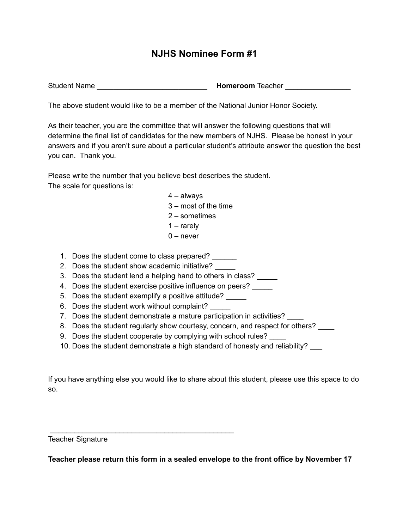## **NJHS Nominee Form #1**

Student Name **Example 20 and Student Name 20 and Student Name 20 and Student Property American** Homeroom Teacher

The above student would like to be a member of the National Junior Honor Society.

As their teacher, you are the committee that will answer the following questions that will determine the final list of candidates for the new members of NJHS. Please be honest in your answers and if you aren't sure about a particular student's attribute answer the question the best you can. Thank you.

Please write the number that you believe best describes the student. The scale for questions is:

- 4 always
- 3 most of the time
- 2 sometimes
- 1 rarely
- $0$  never
- 1. Does the student come to class prepared?
- 2. Does the student show academic initiative?
- 3. Does the student lend a helping hand to others in class?
- 4. Does the student exercise positive influence on peers?
- 5. Does the student exemplify a positive attitude?
- 6. Does the student work without complaint? \_\_\_\_\_

\_\_\_\_\_\_\_\_\_\_\_\_\_\_\_\_\_\_\_\_\_\_\_\_\_\_\_\_\_\_\_\_\_\_\_\_\_\_\_\_\_\_\_\_\_

- 7. Does the student demonstrate a mature participation in activities?
- 8. Does the student regularly show courtesy, concern, and respect for others?
- 9. Does the student cooperate by complying with school rules?
- 10. Does the student demonstrate a high standard of honesty and reliability?

If you have anything else you would like to share about this student, please use this space to do so.

Teacher Signature

**Teacher please return this form in a sealed envelope to the front office by November 17**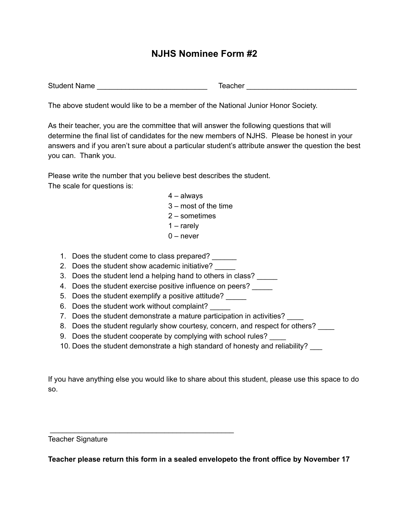## **NJHS Nominee Form #2**

Student Name \_\_\_\_\_\_\_\_\_\_\_\_\_\_\_\_\_\_\_\_\_\_\_\_\_\_\_ Teacher \_\_\_\_\_\_\_\_\_\_\_\_\_\_\_\_\_\_\_\_\_\_\_\_\_\_\_

The above student would like to be a member of the National Junior Honor Society.

As their teacher, you are the committee that will answer the following questions that will determine the final list of candidates for the new members of NJHS. Please be honest in your answers and if you aren't sure about a particular student's attribute answer the question the best you can. Thank you.

Please write the number that you believe best describes the student. The scale for questions is:

- 4 always
- 3 most of the time
- 2 sometimes
- 1 rarely
- $0$  never
- 1. Does the student come to class prepared?
- 2. Does the student show academic initiative?
- 3. Does the student lend a helping hand to others in class?
- 4. Does the student exercise positive influence on peers?
- 5. Does the student exemplify a positive attitude?
- 6. Does the student work without complaint? \_\_\_\_\_

\_\_\_\_\_\_\_\_\_\_\_\_\_\_\_\_\_\_\_\_\_\_\_\_\_\_\_\_\_\_\_\_\_\_\_\_\_\_\_\_\_\_\_\_\_

- 7. Does the student demonstrate a mature participation in activities?
- 8. Does the student regularly show courtesy, concern, and respect for others?
- 9. Does the student cooperate by complying with school rules?
- 10. Does the student demonstrate a high standard of honesty and reliability?

If you have anything else you would like to share about this student, please use this space to do so.

Teacher Signature

**Teacher please return this form in a sealed envelopeto the front office by November 17**